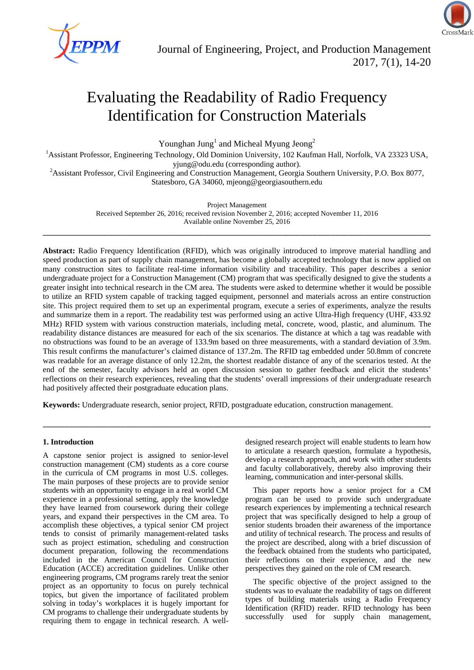

# Evaluating the Readability of Radio Frequency Identification for Construction Materials

Younghan Jung<sup>1</sup> and Micheal Myung Jeong<sup>2</sup>

<sup>1</sup>Assistant Professor, Engineering Technology, Old Dominion University, 102 Kaufman Hall, Norfolk, VA 23323 USA, yjung@odu.edu (corresponding author).<br><sup>2</sup> Assistant Professor, Civil Engineering and Construction Management, Georgia Southern University, P.O. Box 8077,

Statesboro, GA 34060, mjeong@georgiasouthern.edu

Project Management

Received September 26, 2016; received revision November 2, 2016; accepted November 11, 2016 Available online November 25, 2016 \_\_\_\_\_\_\_\_\_\_\_\_\_\_\_\_\_\_\_\_\_\_\_\_\_\_\_\_\_\_\_\_\_\_\_\_\_\_\_\_\_\_\_\_\_\_\_\_\_\_\_\_\_\_\_\_\_\_\_\_\_\_\_\_\_\_\_\_\_\_\_\_\_\_\_\_\_\_\_\_\_\_\_\_\_\_\_\_\_

**Abstract:** Radio Frequency Identification (RFID), which was originally introduced to improve material handling and speed production as part of supply chain management, has become a globally accepted technology that is now applied on many construction sites to facilitate real-time information visibility and traceability. This paper describes a senior undergraduate project for a Construction Management (CM) program that was specifically designed to give the students a greater insight into technical research in the CM area. The students were asked to determine whether it would be possible to utilize an RFID system capable of tracking tagged equipment, personnel and materials across an entire construction site. This project required them to set up an experimental program, execute a series of experiments, analyze the results and summarize them in a report. The readability test was performed using an active Ultra-High frequency (UHF, 433.92 MHz) RFID system with various construction materials, including metal, concrete, wood, plastic, and aluminum. The readability distance distances are measured for each of the six scenarios. The distance at which a tag was readable with no obstructions was found to be an average of 133.9m based on three measurements, with a standard deviation of 3.9m. This result confirms the manufacturer's claimed distance of 137.2m. The RFID tag embedded under 50.8mm of concrete was readable for an average distance of only 12.2m, the shortest readable distance of any of the scenarios tested. At the end of the semester, faculty advisors held an open discussion session to gather feedback and elicit the students' reflections on their research experiences, revealing that the students' overall impressions of their undergraduate research had positively affected their postgraduate education plans.

**Keywords:** Undergraduate research, senior project, RFID, postgraduate education, construction management.

\_\_\_\_\_\_\_\_\_\_\_\_\_\_\_\_\_\_\_\_\_\_\_\_\_\_\_\_\_\_\_\_\_\_\_\_\_\_\_\_\_\_\_\_\_\_\_\_\_\_\_\_\_\_\_\_\_\_\_\_\_\_\_\_\_\_\_\_\_\_\_\_\_\_\_\_\_\_\_\_\_\_\_\_\_\_\_\_\_

## **1. Introduction**

A capstone senior project is assigned to senior-level construction management (CM) students as a core course in the curricula of CM programs in most U.S. colleges. The main purposes of these projects are to provide senior students with an opportunity to engage in a real world CM experience in a professional setting, apply the knowledge they have learned from coursework during their college years, and expand their perspectives in the CM area. To accomplish these objectives, a typical senior CM project tends to consist of primarily management-related tasks such as project estimation, scheduling and construction document preparation, following the recommendations included in the American Council for Construction Education (ACCE) accreditation guidelines. Unlike other engineering programs, CM programs rarely treat the senior project as an opportunity to focus on purely technical topics, but given the importance of facilitated problem solving in today's workplaces it is hugely important for CM programs to challenge their undergraduate students by requiring them to engage in technical research. A welldesigned research project will enable students to learn how to articulate a research question, formulate a hypothesis, develop a research approach, and work with other students and faculty collaboratively, thereby also improving their learning, communication and inter-personal skills.

This paper reports how a senior project for a CM program can be used to provide such undergraduate research experiences by implementing a technical research project that was specifically designed to help a group of senior students broaden their awareness of the importance and utility of technical research. The process and results of the project are described, along with a brief discussion of the feedback obtained from the students who participated, their reflections on their experience, and the new perspectives they gained on the role of CM research.

The specific objective of the project assigned to the students was to evaluate the readability of tags on different types of building materials using a Radio Frequency Identification (RFID) reader. RFID technology has been successfully used for supply chain management,

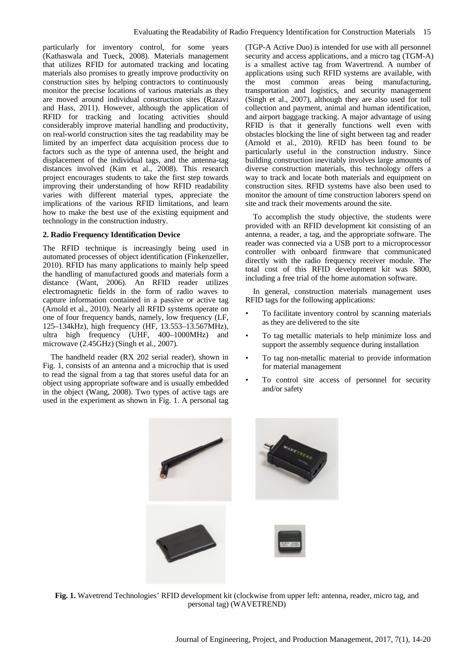particularly for inventory control, for some years (Kathaswala and Tueck, 2008). Materials management that utilizes RFID for automated tracking and locating materials also promises to greatly improve productivity on construction sites by helping contractors to continuously monitor the precise locations of various materials as they are moved around individual construction sites (Razavi and Hass, 2011). However, although the application of RFID for tracking and locating activities should considerably improve material handling and productivity, on real-world construction sites the tag readability may be limited by an imperfect data acquisition process due to factors such as the type of antenna used, the height and displacement of the individual tags, and the antenna-tag distances involved (Kim et al., 2008). This research project encourages students to take the first step towards improving their understanding of how RFID readability varies with different material types, appreciate the implications of the various RFID limitations, and learn how to make the best use of the existing equipment and technology in the construction industry.

## **2. Radio Frequency Identification Device**

The RFID technique is increasingly being used in automated processes of object identification (Finkenzeller, 2010). RFID has many applications to mainly help speed the handling of manufactured goods and materials form a distance (Want, 2006). An RFID reader utilizes electromagnetic fields in the form of radio waves to capture information contained in a passive or active tag (Arnold et al., 2010). Nearly all RFID systems operate on one of four frequency bands, namely, low frequency (LF, 125–134kHz), high frequency (HF, 13.553–13.567MHz), ultra high frequency (UHF, 400–1000MHz) and microwave (2.45GHz) (Singh et al., 2007).

The handheld reader (RX 202 serial reader), shown in Fig. 1, consists of an antenna and a microchip that is used to read the signal from a tag that stores useful data for an object using appropriate software and is usually embedded in the object (Wang, 2008). Two types of active tags are used in the experiment as shown in Fig. 1. A personal tag (TGP-A Active Duo) is intended for use with all personnel security and access applications, and a micro tag (TGM-A) is a smallest active tag from Wavertrend. A number of applications using such RFID systems are available, with the most common areas being manufacturing, transportation and logistics, and security management (Singh et al., 2007), although they are also used for toll collection and payment, animal and human identification, and airport baggage tracking. A major advantage of using RFID is that it generally functions well even with obstacles blocking the line of sight between tag and reader (Arnold et al., 2010). RFID has been found to be particularly useful in the construction industry. Since building construction inevitably involves large amounts of diverse construction materials, this technology offers a way to track and locate both materials and equipment on construction sites. RFID systems have also been used to monitor the amount of time construction laborers spend on site and track their movements around the site.

To accomplish the study objective, the students were provided with an RFID development kit consisting of an antenna, a reader, a tag, and the appropriate software. The reader was connected via a USB port to a microprocessor controller with onboard firmware that communicated directly with the radio frequency receiver module. The total cost of this RFID development kit was \$800, including a free trial of the home automation software.

In general, construction materials management uses RFID tags for the following applications:

- To facilitate inventory control by scanning materials as they are delivered to the site
- To tag metallic materials to help minimize loss and support the assembly sequence during installation
- To tag non-metallic material to provide information for material management
- To control site access of personnel for security and/or safety



**Fig. 1.** Wavetrend Technologies' RFID development kit (clockwise from upper left: antenna, reader, micro tag, and personal tag) (WAVETREND)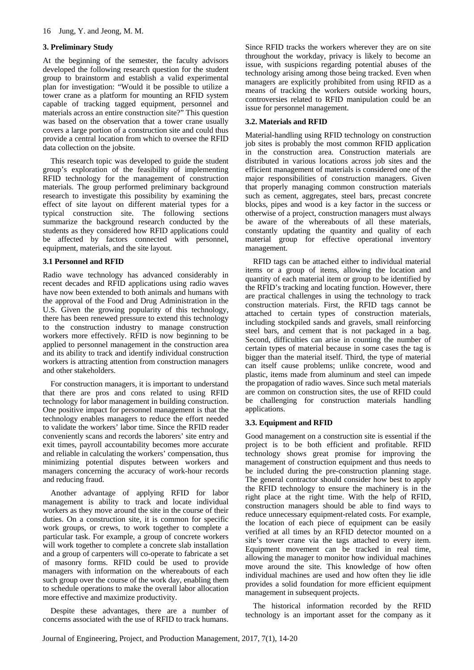# **3. Preliminary Study**

At the beginning of the semester, the faculty advisors developed the following research question for the student group to brainstorm and establish a valid experimental plan for investigation: "Would it be possible to utilize a tower crane as a platform for mounting an RFID system capable of tracking tagged equipment, personnel and materials across an entire construction site?" This question was based on the observation that a tower crane usually covers a large portion of a construction site and could thus provide a central location from which to oversee the RFID data collection on the jobsite.

This research topic was developed to guide the student group's exploration of the feasibility of implementing RFID technology for the management of construction materials. The group performed preliminary background research to investigate this possibility by examining the effect of site layout on different material types for a typical construction site. The following sections summarize the background research conducted by the students as they considered how RFID applications could be affected by factors connected with personnel, equipment, materials, and the site layout.

# **3.1 Personnel and RFID**

Radio wave technology has advanced considerably in recent decades and RFID applications using radio waves have now been extended to both animals and humans with the approval of the Food and Drug Administration in the U.S. Given the growing popularity of this technology, there has been renewed pressure to extend this technology to the construction industry to manage construction workers more effectively. RFID is now beginning to be applied to personnel management in the construction area and its ability to track and identify individual construction workers is attracting attention from construction managers and other stakeholders.

For construction managers, it is important to understand that there are pros and cons related to using RFID technology for labor management in building construction. One positive impact for personnel management is that the technology enables managers to reduce the effort needed to validate the workers' labor time. Since the RFID reader conveniently scans and records the laborers' site entry and exit times, payroll accountability becomes more accurate and reliable in calculating the workers' compensation, thus minimizing potential disputes between workers and managers concerning the accuracy of work-hour records and reducing fraud.

Another advantage of applying RFID for labor management is ability to track and locate individual workers as they move around the site in the course of their duties. On a construction site, it is common for specific work groups, or crews, to work together to complete a particular task. For example, a group of concrete workers will work together to complete a concrete slab installation and a group of carpenters will co-operate to fabricate a set of masonry forms. RFID could be used to provide managers with information on the whereabouts of each such group over the course of the work day, enabling them to schedule operations to make the overall labor allocation more effective and maximize productivity.

Despite these advantages, there are a number of concerns associated with the use of RFID to track humans.

Since RFID tracks the workers wherever they are on site throughout the workday, privacy is likely to become an issue, with suspicions regarding potential abuses of the technology arising among those being tracked. Even when managers are explicitly prohibited from using RFID as a means of tracking the workers outside working hours, controversies related to RFID manipulation could be an issue for personnel management.

# **3.2. Materials and RFID**

Material-handling using RFID technology on construction job sites is probably the most common RFID application in the construction area. Construction materials are distributed in various locations across job sites and the efficient management of materials is considered one of the major responsibilities of construction managers. Given that properly managing common construction materials such as cement, aggregates, steel bars, precast concrete blocks, pipes and wood is a key factor in the success or otherwise of a project, construction managers must always be aware of the whereabouts of all these materials, constantly updating the quantity and quality of each material group for effective operational inventory management.

RFID tags can be attached either to individual material items or a group of items, allowing the location and quantity of each material item or group to be identified by the RFID's tracking and locating function. However, there are practical challenges in using the technology to track construction materials. First, the RFID tags cannot be attached to certain types of construction materials, including stockpiled sands and gravels, small reinforcing steel bars, and cement that is not packaged in a bag. Second, difficulties can arise in counting the number of certain types of material because in some cases the tag is bigger than the material itself. Third, the type of material can itself cause problems; unlike concrete, wood and plastic, items made from aluminum and steel can impede the propagation of radio waves. Since such metal materials are common on construction sites, the use of RFID could be challenging for construction materials handling applications.

# **3.3. Equipment and RFID**

Good management on a construction site is essential if the project is to be both efficient and profitable. RFID technology shows great promise for improving the management of construction equipment and thus needs to be included during the pre-construction planning stage. The general contractor should consider how best to apply the RFID technology to ensure the machinery is in the right place at the right time. With the help of RFID, construction managers should be able to find ways to reduce unnecessary equipment-related costs. For example, the location of each piece of equipment can be easily verified at all times by an RFID detector mounted on a site's tower crane via the tags attached to every item. Equipment movement can be tracked in real time, allowing the manager to monitor how individual machines move around the site. This knowledge of how often individual machines are used and how often they lie idle provides a solid foundation for more efficient equipment management in subsequent projects.

The historical information recorded by the RFID technology is an important asset for the company as it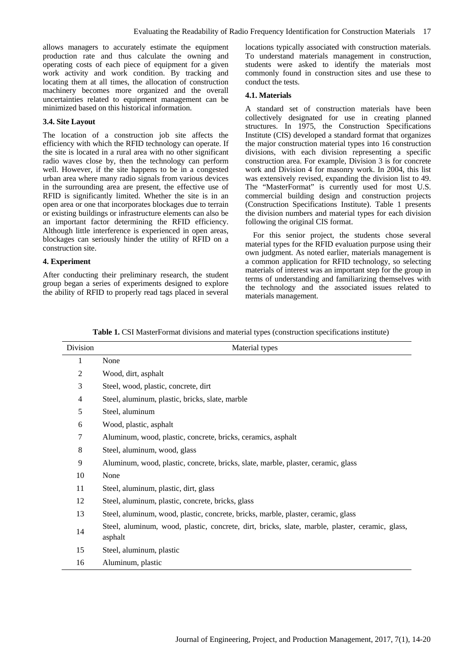allows managers to accurately estimate the equipment production rate and thus calculate the owning and operating costs of each piece of equipment for a given work activity and work condition. By tracking and locating them at all times, the allocation of construction machinery becomes more organized and the overall uncertainties related to equipment management can be minimized based on this historical information.

#### **3.4. Site Layout**

The location of a construction job site affects the efficiency with which the RFID technology can operate. If the site is located in a rural area with no other significant radio waves close by, then the technology can perform well. However, if the site happens to be in a congested urban area where many radio signals from various devices in the surrounding area are present, the effective use of RFID is significantly limited. Whether the site is in an open area or one that incorporates blockages due to terrain or existing buildings or infrastructure elements can also be an important factor determining the RFID efficiency. Although little interference is experienced in open areas, blockages can seriously hinder the utility of RFID on a construction site.

#### **4. Experiment**

After conducting their preliminary research, the student group began a series of experiments designed to explore the ability of RFID to properly read tags placed in several locations typically associated with construction materials. To understand materials management in construction, students were asked to identify the materials most commonly found in construction sites and use these to conduct the tests.

#### **4.1. Materials**

A standard set of construction materials have been collectively designated for use in creating planned structures. In 1975, the Construction Specifications Institute (CIS) developed a standard format that organizes the major construction material types into 16 construction divisions, with each division representing a specific construction area. For example, Division 3 is for concrete work and Division 4 for masonry work. In 2004, this list was extensively revised, expanding the division list to 49. The "MasterFormat" is currently used for most U.S. commercial building design and construction projects (Construction Specifications Institute). Table 1 presents the division numbers and material types for each division following the original CIS format.

For this senior project, the students chose several material types for the RFID evaluation purpose using their own judgment. As noted earlier, materials management is a common application for RFID technology, so selecting materials of interest was an important step for the group in terms of understanding and familiarizing themselves with the technology and the associated issues related to materials management.

**Table 1.** CSI MasterFormat divisions and material types (construction specifications institute)

| Division       | Material types                                                                                             |
|----------------|------------------------------------------------------------------------------------------------------------|
| 1              | None                                                                                                       |
| $\overline{2}$ | Wood, dirt, asphalt                                                                                        |
| 3              | Steel, wood, plastic, concrete, dirt                                                                       |
| 4              | Steel, aluminum, plastic, bricks, slate, marble                                                            |
| 5              | Steel, aluminum                                                                                            |
| 6              | Wood, plastic, asphalt                                                                                     |
| 7              | Aluminum, wood, plastic, concrete, bricks, ceramics, asphalt                                               |
| 8              | Steel, aluminum, wood, glass                                                                               |
| 9              | Aluminum, wood, plastic, concrete, bricks, slate, marble, plaster, ceramic, glass                          |
| 10             | None                                                                                                       |
| 11             | Steel, aluminum, plastic, dirt, glass                                                                      |
| 12             | Steel, aluminum, plastic, concrete, bricks, glass                                                          |
| 13             | Steel, aluminum, wood, plastic, concrete, bricks, marble, plaster, ceramic, glass                          |
| 14             | Steel, aluminum, wood, plastic, concrete, dirt, bricks, slate, marble, plaster, ceramic, glass,<br>asphalt |
| 15             | Steel, aluminum, plastic                                                                                   |
| 16             | Aluminum, plastic                                                                                          |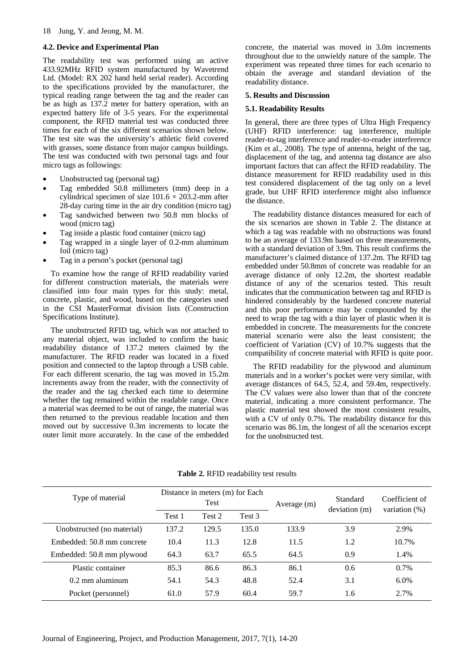## **4.2. Device and Experimental Plan**

The readability test was performed using an active 433.92MHz RFID system manufactured by Wavetrend Ltd. (Model: RX 202 hand held serial reader). According to the specifications provided by the manufacturer, the typical reading range between the tag and the reader can be as high as 137.2 meter for battery operation, with an expected battery life of 3-5 years. For the experimental component, the RFID material test was conducted three times for each of the six different scenarios shown below. The test site was the university's athletic field covered with grasses, some distance from major campus buildings. The test was conducted with two personal tags and four micro tags as followings:

- Unobstructed tag (personal tag)
- Tag embedded 50.8 millimeters (mm) deep in a cylindrical specimen of size  $101.6 \times 203.2$ -mm after 28-day curing time in the air dry condition (micro tag)
- Tag sandwiched between two 50.8 mm blocks of wood (micro tag)
- Tag inside a plastic food container (micro tag)
- Tag wrapped in a single layer of 0.2-mm aluminum foil (micro tag)
- Tag in a person's pocket (personal tag)

To examine how the range of RFID readability varied for different construction materials, the materials were classified into four main types for this study: metal, concrete, plastic, and wood, based on the categories used in the CSI MasterFormat division lists (Construction Specifications Institute).

The unobstructed RFID tag, which was not attached to any material object, was included to confirm the basic readability distance of 137.2 meters claimed by the manufacturer. The RFID reader was located in a fixed position and connected to the laptop through a USB cable. For each different scenario, the tag was moved in 15.2m increments away from the reader, with the connectivity of the reader and the tag checked each time to determine whether the tag remained within the readable range. Once a material was deemed to be out of range, the material was then returned to the previous readable location and then moved out by successive 0.3m increments to locate the outer limit more accurately. In the case of the embedded

concrete, the material was moved in 3.0m increments throughout due to the unwieldy nature of the sample. The experiment was repeated three times for each scenario to obtain the average and standard deviation of the readability distance.

# **5. Results and Discussion**

## **5.1. Readability Results**

In general, there are three types of Ultra High Frequency (UHF) RFID interference: tag interference, multiple reader-to-tag interference and reader-to-reader interference (Kim et al., 2008). The type of antenna, height of the tag, displacement of the tag, and antenna tag distance are also important factors that can affect the RFID readability. The distance measurement for RFID readability used in this test considered displacement of the tag only on a level grade, but UHF RFID interference might also influence the distance.

The readability distance distances measured for each of the six scenarios are shown in Table 2. The distance at which a tag was readable with no obstructions was found to be an average of 133.9m based on three measurements, with a standard deviation of 3.9m. This result confirms the manufacturer's claimed distance of 137.2m. The RFID tag embedded under 50.8mm of concrete was readable for an average distance of only 12.2m, the shortest readable distance of any of the scenarios tested. This result indicates that the communication between tag and RFID is hindered considerably by the hardened concrete material and this poor performance may be compounded by the need to wrap the tag with a thin layer of plastic when it is embedded in concrete. The measurements for the concrete material scenario were also the least consistent; the coefficient of Variation (CV) of 10.7% suggests that the compatibility of concrete material with RFID is quite poor.

The RFID readability for the plywood and aluminum materials and in a worker's pocket were very similar, with average distances of 64.5, 52.4, and 59.4m, respectively. The CV values were also lower than that of the concrete material, indicating a more consistent performance. The plastic material test showed the most consistent results, with a CV of only 0.7%. The readability distance for this scenario was 86.1m, the longest of all the scenarios except for the unobstructed test.

| Type of material           | Distance in meters (m) for Each |        |        | Average (m) | Standard<br>deviation (m) | Coefficient of<br>variation (%) |
|----------------------------|---------------------------------|--------|--------|-------------|---------------------------|---------------------------------|
|                            | Test                            |        |        |             |                           |                                 |
|                            | Test 1                          | Test 2 | Test 3 |             |                           |                                 |
| Unobstructed (no material) | 137.2                           | 129.5  | 135.0  | 133.9       | 3.9                       | 2.9%                            |
| Embedded: 50.8 mm concrete | 10.4                            | 11.3   | 12.8   | 11.5        | 1.2                       | 10.7%                           |
| Embedded: 50.8 mm plywood  | 64.3                            | 63.7   | 65.5   | 64.5        | 0.9                       | 1.4%                            |
| Plastic container          | 85.3                            | 86.6   | 86.3   | 86.1        | 0.6                       | 0.7%                            |
| $0.2$ mm aluminum          | 54.1                            | 54.3   | 48.8   | 52.4        | 3.1                       | 6.0%                            |
| Pocket (personnel)         | 61.0                            | 57.9   | 60.4   | 59.7        | 1.6                       | 2.7%                            |

**Table 2.** RFID readability test results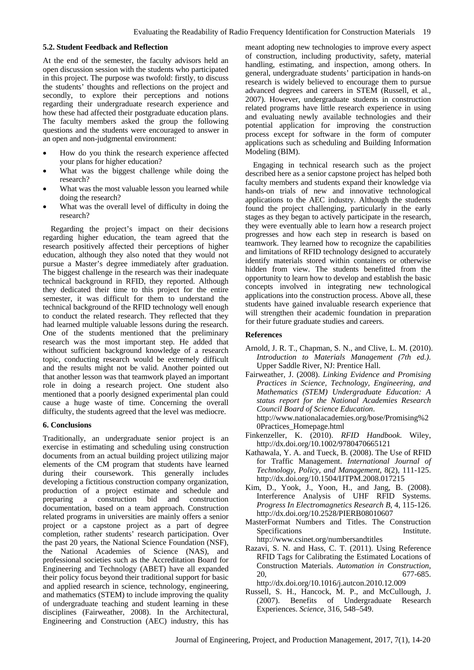# **5.2. Student Feedback and Reflection**

At the end of the semester, the faculty advisors held an open discussion session with the students who participated in this project. The purpose was twofold: firstly, to discuss the students' thoughts and reflections on the project and secondly, to explore their perceptions and notions regarding their undergraduate research experience and how these had affected their postgraduate education plans. The faculty members asked the group the following questions and the students were encouraged to answer in an open and non-judgmental environment:

- How do you think the research experience affected your plans for higher education?
- What was the biggest challenge while doing the research?
- What was the most valuable lesson you learned while doing the research?
- What was the overall level of difficulty in doing the research?

Regarding the project's impact on their decisions regarding higher education, the team agreed that the research positively affected their perceptions of higher education, although they also noted that they would not pursue a Master's degree immediately after graduation. The biggest challenge in the research was their inadequate technical background in RFID, they reported. Although they dedicated their time to this project for the entire semester, it was difficult for them to understand the technical background of the RFID technology well enough to conduct the related research. They reflected that they had learned multiple valuable lessons during the research. One of the students mentioned that the preliminary research was the most important step. He added that without sufficient background knowledge of a research topic, conducting research would be extremely difficult and the results might not be valid. Another pointed out that another lesson was that teamwork played an important role in doing a research project. One student also mentioned that a poorly designed experimental plan could cause a huge waste of time. Concerning the overall difficulty, the students agreed that the level was mediocre.

# **6. Conclusions**

Traditionally, an undergraduate senior project is an exercise in estimating and scheduling using construction documents from an actual building project utilizing major elements of the CM program that students have learned during their coursework. This generally includes developing a fictitious construction company organization, production of a project estimate and schedule and preparing a construction bid and construction documentation, based on a team approach. Construction related programs in universities are mainly offers a senior project or a capstone project as a part of degree completion, rather students' research participation. Over the past 20 years, the National Science Foundation (NSF), the National Academies of Science (NAS), and professional societies such as the Accreditation Board for Engineering and Technology (ABET) have all expanded their policy focus beyond their traditional support for basic and applied research in science, technology, engineering, and mathematics (STEM) to include improving the quality of undergraduate teaching and student learning in these disciplines (Fairweather, 2008). In the Architectural, Engineering and Construction (AEC) industry, this has

meant adopting new technologies to improve every aspect of construction, including productivity, safety, material handling, estimating, and inspection, among others. In general, undergraduate students' participation in hands-on research is widely believed to encourage them to pursue advanced degrees and careers in STEM (Russell, et al., 2007). However, undergraduate students in construction related programs have little research experience in using and evaluating newly available technologies and their potential application for improving the construction process except for software in the form of computer applications such as scheduling and Building Information Modeling (BIM).

Engaging in technical research such as the project described here as a senior capstone project has helped both faculty members and students expand their knowledge via hands-on trials of new and innovative technological applications to the AEC industry. Although the students found the project challenging, particularly in the early stages as they began to actively participate in the research, they were eventually able to learn how a research project progresses and how each step in research is based on teamwork. They learned how to recognize the capabilities and limitations of RFID technology designed to accurately identify materials stored within containers or otherwise hidden from view. The students benefitted from the opportunity to learn how to develop and establish the basic concepts involved in integrating new technological applications into the construction process. Above all, these students have gained invaluable research experience that will strengthen their academic foundation in preparation for their future graduate studies and careers.

# **References**

- Arnold, J. R. T., Chapman, S. N., and Clive, L. M. (2010). *Introduction to Materials Management (7th ed.)*. Upper Saddle River, NJ: Prentice Hall.
- Fairweather, J. (2008). *Linking Evidence and Promising Practices in Science, Technology, Engineering, and Mathematics (STEM) Undergraduate Education: A status report for the National Academies Research Council Board of Science Education*. http://www.nationalacademies.org/bose/Promising%2 0Practices\_Homepage.html
- Finkenzeller, K. (2010). *RFID Handbook*. Wiley, http://dx.doi.org/10.1002/9780470665121
- Kathawala, Y. A. and Tueck, B. (2008). The Use of RFID for Traffic Management. *International Journal of Technology, Policy, and Management*, 8(2), 111-125. http://dx.doi.org/10.1504/IJTPM.2008.017215
- Kim, D., Yook, J., Yoon, H., and Jang, B. (2008). Interference Analysis of UHF RFID Systems. *Progress In Electromagnetics Research B*, 4, 115-126. http://dx.doi.org/10.2528/PIERB08010607
- MasterFormat Numbers and Titles. The Construction Specifications Institute. http://www.csinet.org/numbersandtitles
- Razavi, S. N. and Hass, C. T. (2011). Using Reference RFID Tags for Calibrating the Estimated Locations of Construction Materials. *Automation in Construction*, 20, 677-685. http://dx.doi.org/10.1016/j.autcon.2010.12.009
- Russell, S. H., Hancock, M. P., and McCullough, J. (2007). Benefits of Undergraduate Research Experiences. *Science*, 316, 548–549.